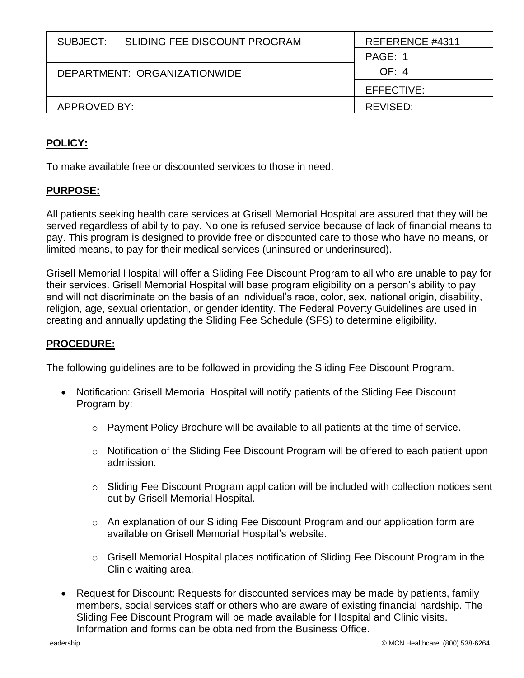| SUBJECT:                     | SLIDING FEE DISCOUNT PROGRAM | REFERENCE #4311 |
|------------------------------|------------------------------|-----------------|
|                              |                              | PAGE: 1         |
| DEPARTMENT: ORGANIZATIONWIDE |                              | OF: 4           |
|                              |                              | EFFECTIVE:      |
| APPROVED BY:                 |                              | REVISED:        |

## **POLICY:**

To make available free or discounted services to those in need.

## **PURPOSE:**

All patients seeking health care services at Grisell Memorial Hospital are assured that they will be served regardless of ability to pay. No one is refused service because of lack of financial means to pay. This program is designed to provide free or discounted care to those who have no means, or limited means, to pay for their medical services (uninsured or underinsured).

Grisell Memorial Hospital will offer a Sliding Fee Discount Program to all who are unable to pay for their services. Grisell Memorial Hospital will base program eligibility on a person's ability to pay and will not discriminate on the basis of an individual's race, color, sex, national origin, disability, religion, age, sexual orientation, or gender identity. The Federal Poverty Guidelines are used in creating and annually updating the Sliding Fee Schedule (SFS) to determine eligibility.

## **PROCEDURE:**

The following guidelines are to be followed in providing the Sliding Fee Discount Program.

- Notification: Grisell Memorial Hospital will notify patients of the Sliding Fee Discount Program by:
	- o Payment Policy Brochure will be available to all patients at the time of service.
	- o Notification of the Sliding Fee Discount Program will be offered to each patient upon admission.
	- $\circ$  Sliding Fee Discount Program application will be included with collection notices sent out by Grisell Memorial Hospital.
	- o An explanation of our Sliding Fee Discount Program and our application form are available on Grisell Memorial Hospital's website.
	- $\circ$  Grisell Memorial Hospital places notification of Sliding Fee Discount Program in the Clinic waiting area.
- Request for Discount: Requests for discounted services may be made by patients, family members, social services staff or others who are aware of existing financial hardship. The Sliding Fee Discount Program will be made available for Hospital and Clinic visits. Information and forms can be obtained from the Business Office.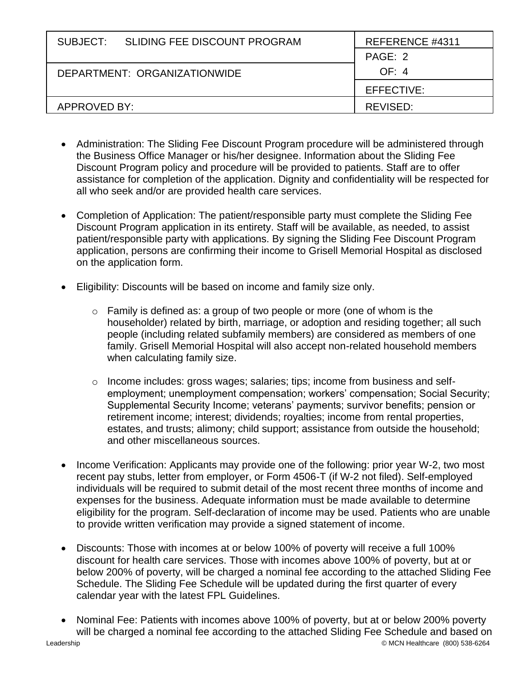| SLIDING FEE DISCOUNT PROGRAM<br>SUBJECT: | REFERENCE #4311 |
|------------------------------------------|-----------------|
|                                          | PAGE: 2         |
| DEPARTMENT: ORGANIZATIONWIDE             | OF: 4           |
|                                          | EFFECTIVE:      |
| APPROVED BY:                             | REVISED:        |

- Administration: The Sliding Fee Discount Program procedure will be administered through the Business Office Manager or his/her designee. Information about the Sliding Fee Discount Program policy and procedure will be provided to patients. Staff are to offer assistance for completion of the application. Dignity and confidentiality will be respected for all who seek and/or are provided health care services.
- Completion of Application: The patient/responsible party must complete the Sliding Fee Discount Program application in its entirety. Staff will be available, as needed, to assist patient/responsible party with applications. By signing the Sliding Fee Discount Program application, persons are confirming their income to Grisell Memorial Hospital as disclosed on the application form.
- Eligibility: Discounts will be based on income and family size only.
	- o Family is defined as: a group of two people or more (one of whom is the householder) related by birth, marriage, or adoption and residing together; all such people (including related subfamily members) are considered as members of one family. Grisell Memorial Hospital will also accept non-related household members when calculating family size.
	- o Income includes: gross wages; salaries; tips; income from business and selfemployment; unemployment compensation; workers' compensation; Social Security; Supplemental Security Income; veterans' payments; survivor benefits; pension or retirement income; interest; dividends; royalties; income from rental properties, estates, and trusts; alimony; child support; assistance from outside the household; and other miscellaneous sources.
- Income Verification: Applicants may provide one of the following: prior year W-2, two most recent pay stubs, letter from employer, or Form 4506-T (if W-2 not filed). Self-employed individuals will be required to submit detail of the most recent three months of income and expenses for the business. Adequate information must be made available to determine eligibility for the program. Self-declaration of income may be used. Patients who are unable to provide written verification may provide a signed statement of income.
- Discounts: Those with incomes at or below 100% of poverty will receive a full 100% discount for health care services. Those with incomes above 100% of poverty, but at or below 200% of poverty, will be charged a nominal fee according to the attached Sliding Fee Schedule. The Sliding Fee Schedule will be updated during the first quarter of every calendar year with the latest FPL Guidelines.
- Nominal Fee: Patients with incomes above 100% of poverty, but at or below 200% poverty will be charged a nominal fee according to the attached Sliding Fee Schedule and based on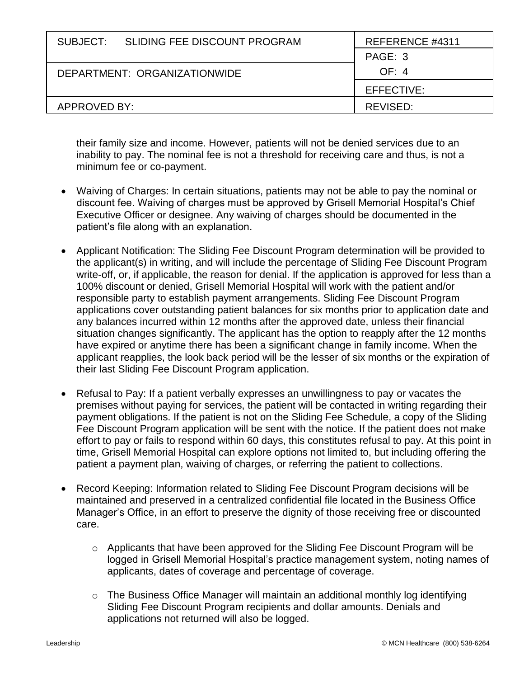| SUBJECT: SLIDING FEE DISCOUNT PROGRAM | REFERENCE #4311 |
|---------------------------------------|-----------------|
|                                       | PAGE: 3         |
| DEPARTMENT: ORGANIZATIONWIDE          | OF: 4           |
|                                       | EFFECTIVE:      |
| APPROVED BY:                          | REVISED:        |

their family size and income. However, patients will not be denied services due to an inability to pay. The nominal fee is not a threshold for receiving care and thus, is not a minimum fee or co-payment.

- Waiving of Charges: In certain situations, patients may not be able to pay the nominal or discount fee. Waiving of charges must be approved by Grisell Memorial Hospital's Chief Executive Officer or designee. Any waiving of charges should be documented in the patient's file along with an explanation.
- Applicant Notification: The Sliding Fee Discount Program determination will be provided to the applicant(s) in writing, and will include the percentage of Sliding Fee Discount Program write-off, or, if applicable, the reason for denial. If the application is approved for less than a 100% discount or denied, Grisell Memorial Hospital will work with the patient and/or responsible party to establish payment arrangements. Sliding Fee Discount Program applications cover outstanding patient balances for six months prior to application date and any balances incurred within 12 months after the approved date, unless their financial situation changes significantly. The applicant has the option to reapply after the 12 months have expired or anytime there has been a significant change in family income. When the applicant reapplies, the look back period will be the lesser of six months or the expiration of their last Sliding Fee Discount Program application.
- Refusal to Pay: If a patient verbally expresses an unwillingness to pay or vacates the premises without paying for services, the patient will be contacted in writing regarding their payment obligations. If the patient is not on the Sliding Fee Schedule, a copy of the Sliding Fee Discount Program application will be sent with the notice. If the patient does not make effort to pay or fails to respond within 60 days, this constitutes refusal to pay. At this point in time, Grisell Memorial Hospital can explore options not limited to, but including offering the patient a payment plan, waiving of charges, or referring the patient to collections.
- Record Keeping: Information related to Sliding Fee Discount Program decisions will be maintained and preserved in a centralized confidential file located in the Business Office Manager's Office, in an effort to preserve the dignity of those receiving free or discounted care.
	- o Applicants that have been approved for the Sliding Fee Discount Program will be logged in Grisell Memorial Hospital's practice management system, noting names of applicants, dates of coverage and percentage of coverage.
	- o The Business Office Manager will maintain an additional monthly log identifying Sliding Fee Discount Program recipients and dollar amounts. Denials and applications not returned will also be logged.